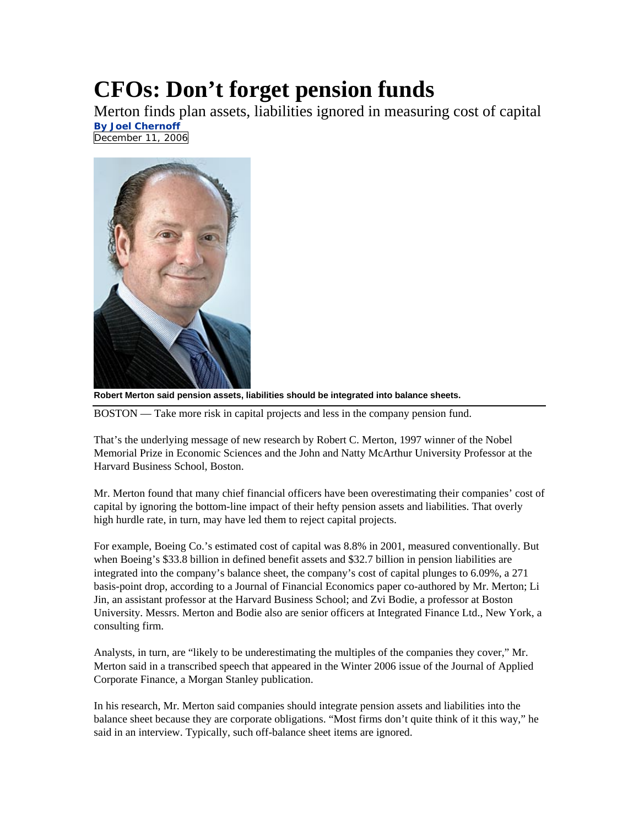## **CFOs: Don't forget pension funds**

Merton finds plan assets, liabilities ignored in measuring cost of capital **By Joel Chernoff** December 11, 2006



**Robert Merton said pension assets, liabilities should be integrated into balance sheets.** 

BOSTON — Take more risk in capital projects and less in the company pension fund.

That's the underlying message of new research by Robert C. Merton, 1997 winner of the Nobel Memorial Prize in Economic Sciences and the John and Natty McArthur University Professor at the Harvard Business School, Boston.

Mr. Merton found that many chief financial officers have been overestimating their companies' cost of capital by ignoring the bottom-line impact of their hefty pension assets and liabilities. That overly high hurdle rate, in turn, may have led them to reject capital projects.

For example, Boeing Co.'s estimated cost of capital was 8.8% in 2001, measured conventionally. But when Boeing's \$33.8 billion in defined benefit assets and \$32.7 billion in pension liabilities are integrated into the company's balance sheet, the company's cost of capital plunges to 6.09%, a 271 basis-point drop, according to a Journal of Financial Economics paper co-authored by Mr. Merton; Li Jin, an assistant professor at the Harvard Business School; and Zvi Bodie, a professor at Boston University. Messrs. Merton and Bodie also are senior officers at Integrated Finance Ltd., New York, a consulting firm.

Analysts, in turn, are "likely to be underestimating the multiples of the companies they cover," Mr. Merton said in a transcribed speech that appeared in the Winter 2006 issue of the Journal of Applied Corporate Finance, a Morgan Stanley publication.

In his research, Mr. Merton said companies should integrate pension assets and liabilities into the balance sheet because they are corporate obligations. "Most firms don't quite think of it this way," he said in an interview. Typically, such off-balance sheet items are ignored.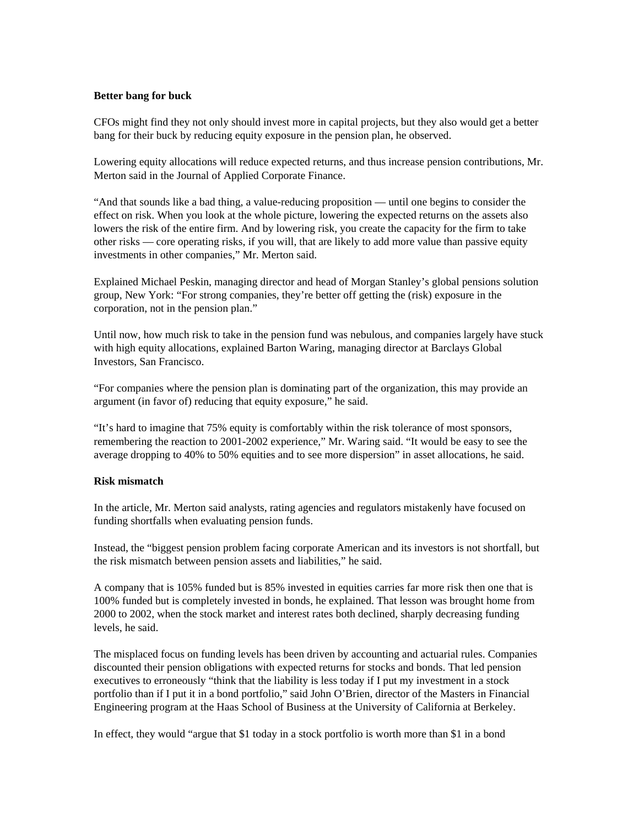## **Better bang for buck**

CFOs might find they not only should invest more in capital projects, but they also would get a better bang for their buck by reducing equity exposure in the pension plan, he observed.

Lowering equity allocations will reduce expected returns, and thus increase pension contributions, Mr. Merton said in the Journal of Applied Corporate Finance.

"And that sounds like a bad thing, a value-reducing proposition — until one begins to consider the effect on risk. When you look at the whole picture, lowering the expected returns on the assets also lowers the risk of the entire firm. And by lowering risk, you create the capacity for the firm to take other risks — core operating risks, if you will, that are likely to add more value than passive equity investments in other companies," Mr. Merton said.

Explained Michael Peskin, managing director and head of Morgan Stanley's global pensions solution group, New York: "For strong companies, they're better off getting the (risk) exposure in the corporation, not in the pension plan."

Until now, how much risk to take in the pension fund was nebulous, and companies largely have stuck with high equity allocations, explained Barton Waring, managing director at Barclays Global Investors, San Francisco.

"For companies where the pension plan is dominating part of the organization, this may provide an argument (in favor of) reducing that equity exposure," he said.

"It's hard to imagine that 75% equity is comfortably within the risk tolerance of most sponsors, remembering the reaction to 2001-2002 experience," Mr. Waring said. "It would be easy to see the average dropping to 40% to 50% equities and to see more dispersion" in asset allocations, he said.

## **Risk mismatch**

In the article, Mr. Merton said analysts, rating agencies and regulators mistakenly have focused on funding shortfalls when evaluating pension funds.

Instead, the "biggest pension problem facing corporate American and its investors is not shortfall, but the risk mismatch between pension assets and liabilities," he said.

A company that is 105% funded but is 85% invested in equities carries far more risk then one that is 100% funded but is completely invested in bonds, he explained. That lesson was brought home from 2000 to 2002, when the stock market and interest rates both declined, sharply decreasing funding levels, he said.

The misplaced focus on funding levels has been driven by accounting and actuarial rules. Companies discounted their pension obligations with expected returns for stocks and bonds. That led pension executives to erroneously "think that the liability is less today if I put my investment in a stock portfolio than if I put it in a bond portfolio," said John O'Brien, director of the Masters in Financial Engineering program at the Haas School of Business at the University of California at Berkeley.

In effect, they would "argue that \$1 today in a stock portfolio is worth more than \$1 in a bond